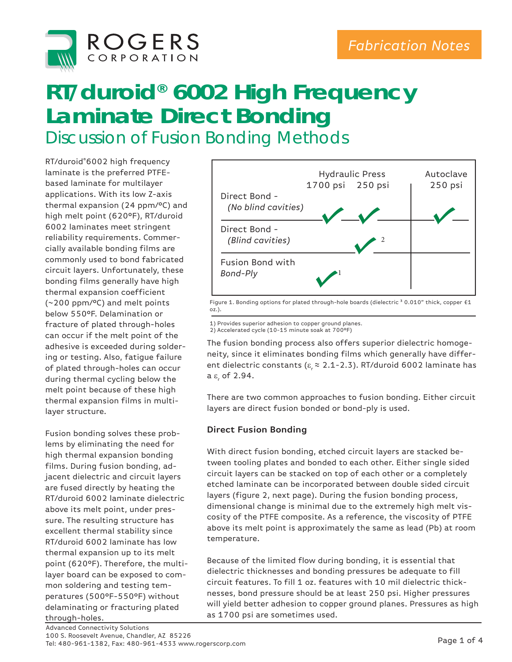

# **RT/duroid® 6002 High Frequency Laminate Direct Bonding**

*Discussion of Fusion Bonding Methods*

RT/duroid®6002 high frequency laminate is the preferred PTFEbased laminate for multilayer applications. With its low Z-axis thermal expansion (24 ppm/°C) and high melt point (620°F), RT/duroid 6002 laminates meet stringent reliability requirements. Commercially available bonding films are commonly used to bond fabricated circuit layers. Unfortunately, these bonding films generally have high thermal expansion coefficient (~200 ppm/°C) and melt points below 550°F. Delamination or fracture of plated through-holes can occur if the melt point of the adhesive is exceeded during soldering or testing. Also, fatigue failure of plated through-holes can occur during thermal cycling below the melt point because of these high thermal expansion films in multilayer structure.

Fusion bonding solves these problems by eliminating the need for high thermal expansion bonding films. During fusion bonding, adjacent dielectric and circuit layers are fused directly by heating the RT/duroid 6002 laminate dielectric above its melt point, under pressure. The resulting structure has excellent thermal stability since RT/duroid 6002 laminate has low thermal expansion up to its melt point (620°F). Therefore, the multilayer board can be exposed to common soldering and testing temperatures (500°F-550°F) without delaminating or fracturing plated through-holes.



Figure 1. Bonding options for plated through-hole boards (dielectric<sup>3</sup> 0.010" thick, copper £1 oz.).

1) Provides superior adhesion to copper ground planes.

2) Accelerated cycle (10-15 minute soak at 700°F)

The fusion bonding process also offers superior dielectric homogeneity, since it eliminates bonding films which generally have different dielectric constants ( $\varepsilon \approx 2.1$ -2.3). RT/duroid 6002 laminate has a  $\varepsilon_{\rm r}$  of 2.94.

There are two common approaches to fusion bonding. Either circuit layers are direct fusion bonded or bond-ply is used.

#### **Direct Fusion Bonding**

With direct fusion bonding, etched circuit layers are stacked between tooling plates and bonded to each other. Either single sided circuit layers can be stacked on top of each other or a completely etched laminate can be incorporated between double sided circuit layers (figure 2, next page). During the fusion bonding process, dimensional change is minimal due to the extremely high melt viscosity of the PTFE composite. As a reference, the viscosity of PTFE above its melt point is approximately the same as lead (Pb) at room temperature.

Because of the limited flow during bonding, it is essential that dielectric thicknesses and bonding pressures be adequate to fill circuit features. To fill 1 oz. features with 10 mil dielectric thicknesses, bond pressure should be at least 250 psi. Higher pressures will yield better adhesion to copper ground planes. Pressures as high as 1700 psi are sometimes used.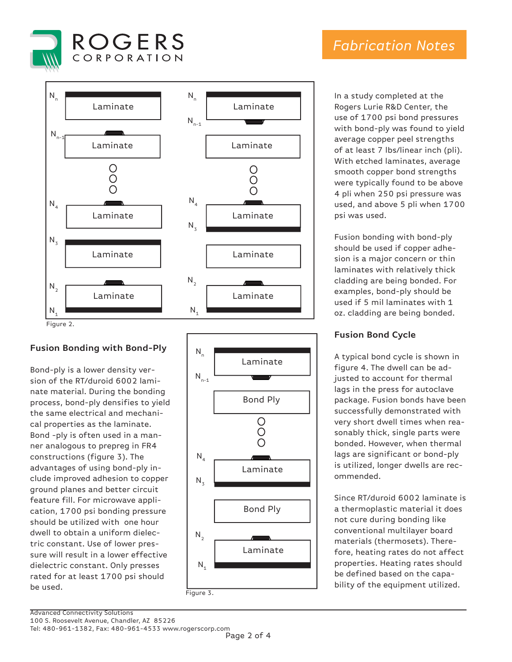



## **Fusion Bonding with Bond-Ply**

Bond-ply is a lower density version of the RT/duroid 6002 laminate material. During the bonding process, bond-ply densifies to yield the same electrical and mechanical properties as the laminate. Bond -ply is often used in a manner analogous to prepreg in FR4 constructions (figure 3). The advantages of using bond-ply include improved adhesion to copper ground planes and better circuit feature fill. For microwave application, 1700 psi bonding pressure should be utilized with one hour dwell to obtain a uniform dielectric constant. Use of lower pressure will result in a lower effective dielectric constant. Only presses rated for at least 1700 psi should be used.



In a study completed at the Rogers Lurie R&D Center, the use of 1700 psi bond pressures with bond-ply was found to yield average copper peel strengths of at least 7 lbs/linear inch (pli). With etched laminates, average smooth copper bond strengths were typically found to be above 4 pli when 250 psi pressure was used, and above 5 pli when 1700 psi was used.

Fusion bonding with bond-ply should be used if copper adhesion is a major concern or thin laminates with relatively thick cladding are being bonded. For examples, bond-ply should be used if 5 mil laminates with 1 oz. cladding are being bonded.

## **Fusion Bond Cycle**

A typical bond cycle is shown in figure 4. The dwell can be adjusted to account for thermal lags in the press for autoclave package. Fusion bonds have been successfully demonstrated with very short dwell times when reasonably thick, single parts were bonded. However, when thermal lags are significant or bond-ply is utilized, longer dwells are recommended.

Since RT/duroid 6002 laminate is a thermoplastic material it does not cure during bonding like conventional multilayer board materials (thermosets). Therefore, heating rates do not affect properties. Heating rates should be defined based on the capability of the equipment utilized.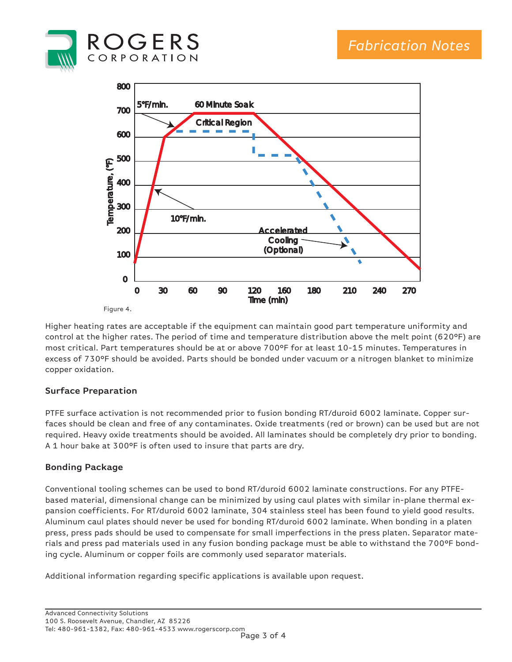



Higher heating rates are acceptable if the equipment can maintain good part temperature uniformity and control at the higher rates. The period of time and temperature distribution above the melt point (620°F) are most critical. Part temperatures should be at or above 700°F for at least 10-15 minutes. Temperatures in excess of 730°F should be avoided. Parts should be bonded under vacuum or a nitrogen blanket to minimize copper oxidation.

#### **Surface Preparation**

PTFE surface activation is not recommended prior to fusion bonding RT/duroid 6002 laminate. Copper surfaces should be clean and free of any contaminates. Oxide treatments (red or brown) can be used but are not required. Heavy oxide treatments should be avoided. All laminates should be completely dry prior to bonding. A 1 hour bake at 300°F is often used to insure that parts are dry.

### **Bonding Package**

Conventional tooling schemes can be used to bond RT/duroid 6002 laminate constructions. For any PTFEbased material, dimensional change can be minimized by using caul plates with similar in-plane thermal expansion coefficients. For RT/duroid 6002 laminate, 304 stainless steel has been found to yield good results. Aluminum caul plates should never be used for bonding RT/duroid 6002 laminate. When bonding in a platen press, press pads should be used to compensate for small imperfections in the press platen. Separator materials and press pad materials used in any fusion bonding package must be able to withstand the 700°F bonding cycle. Aluminum or copper foils are commonly used separator materials.

Additional information regarding specific applications is available upon request.